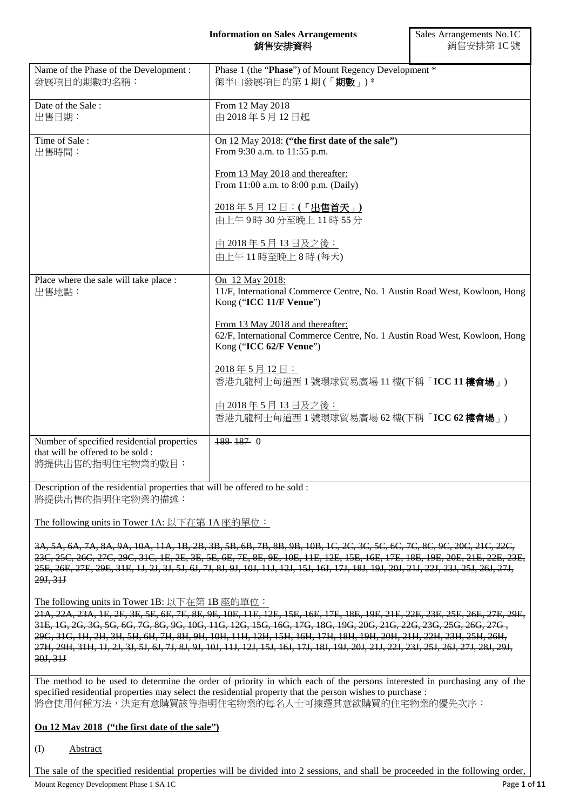### **Information on Sales Arrangements** 銷售安排資料

| Name of the Phase of the Development:<br>發展項目的期數的名稱:                                                | Phase 1 (the "Phase") of Mount Regency Development *<br>御半山發展項目的第1期(「期數」)*                                                                |  |  |
|-----------------------------------------------------------------------------------------------------|-------------------------------------------------------------------------------------------------------------------------------------------|--|--|
| Date of the Sale:<br>出售日期:                                                                          | From 12 May 2018<br>由 2018年5月12日起                                                                                                         |  |  |
| Time of Sale:<br>出售時間:                                                                              | On 12 May 2018: ("the first date of the sale")<br>From 9:30 a.m. to 11:55 p.m.                                                            |  |  |
|                                                                                                     | From 13 May 2018 and thereafter:<br>From 11:00 a.m. to 8:00 p.m. (Daily)                                                                  |  |  |
|                                                                                                     | 2018年5月12日:(「出售首天」)<br>由上午9時30分至晚上11時55分                                                                                                  |  |  |
|                                                                                                     | 由 2018年5月13日及之後:<br>由上午11時至晚上8時(每天)                                                                                                       |  |  |
| Place where the sale will take place :<br>出售地點:                                                     | On 12 May 2018:<br>11/F, International Commerce Centre, No. 1 Austin Road West, Kowloon, Hong<br>Kong ("ICC 11/F Venue")                  |  |  |
|                                                                                                     | From 13 May 2018 and thereafter:<br>62/F, International Commerce Centre, No. 1 Austin Road West, Kowloon, Hong<br>Kong ("ICC 62/F Venue") |  |  |
|                                                                                                     | 2018年5月12日:<br>香港九龍柯士甸道西 1 號環球貿易廣場 11 樓(下稱「ICC 11 樓會場 」)                                                                                  |  |  |
|                                                                                                     | 由 2018年5月13日及之後:<br>香港九龍柯士甸道西1號環球貿易廣場 62樓(下稱「ICC 62樓會場」)                                                                                  |  |  |
| Number of specified residential properties<br>that will be offered to be sold :<br>將提供出售的指明住宅物業的數目: | 188 187 0                                                                                                                                 |  |  |

Description of the residential properties that will be offered to be sold : 將提供出售的指明住宅物業的描述:

The following units in Tower 1A: 以下在第 1A 座的單位:

3A, 5A, 6A, 7A, 8A, 9A, 10A, 11A, 1B, 2B, 3B, 5B, 6B, 7B, 8B, 9B, 10B, 1C, 2C, 3C, 5C, 6C, 7C, 8C, 9C, 20C, 21C, 22C, 23C, 25C, 26C, 27C, 29C, 31C, 1E, 2E, 3E, 5E, 6E, 7E, 8E, 9E, 10E, 11E, 12E, 15E, 16E, 17E, 18E, 19E, 20E, 21E, 22E, 23E, 25E, 26E, 27E, 29E, 31E, 1J, 2J, 3J, 5J, 6J, 7J, 8J, 9J, 10J, 11J, 12J, 15J, 16J, 17J, 18J, 19J, 20J, 21J, 22J, 23J, 25J, 26J, 27J, 29J, 31J

The following units in Tower 1B: 以下在第 1B 座的單位:

21A, 22A, 23A, 1E, 2E, 3E, 5E, 6E, 7E, 8E, 9E, 10E, 11E, 12E, 15E, 16E, 17E, 18E, 19E, 21E, 22E, 23E, 25E, 26E, 27E, 29E, 31E, 1G, 2G, 3G, 5G, 6G, 7G, 8G, 9G, 10G, 11G, 12G, 15G, 16G, 17G, 18G, 19G, 20G, 21G, 22G, 23G, 25G, 26G, 27G , 29G, 31G, 1H, 2H, 3H, 5H, 6H, 7H, 8H, 9H, 10H, 11H, 12H, 15H, 16H, 17H, 18H, 19H, 20H, 21H, 22H, 23H, 25H, 26H, 27H, 29H, 31H, 1J, 2J, 3J, 5J, 6J, 7J, 8J, 9J, 10J, 11J, 12J, 15J, 16J, 17J, 18J, 19J, 20J, 21J, 22J, 23J, 25J, 26J, 27J, 28J, 29J, 30J, 31J

The method to be used to determine the order of priority in which each of the persons interested in purchasing any of the specified residential properties may select the residential property that the person wishes to purchase : 將會使用何種方法,決定有意購買該等指明住宅物業的每名人士可揀選其意欲購買的住宅物業的優先次序:

# **On 12 May 2018 ("the first date of the sale")**

## (I) Abstract

The sale of the specified residential properties will be divided into 2 sessions, and shall be proceeded in the following order,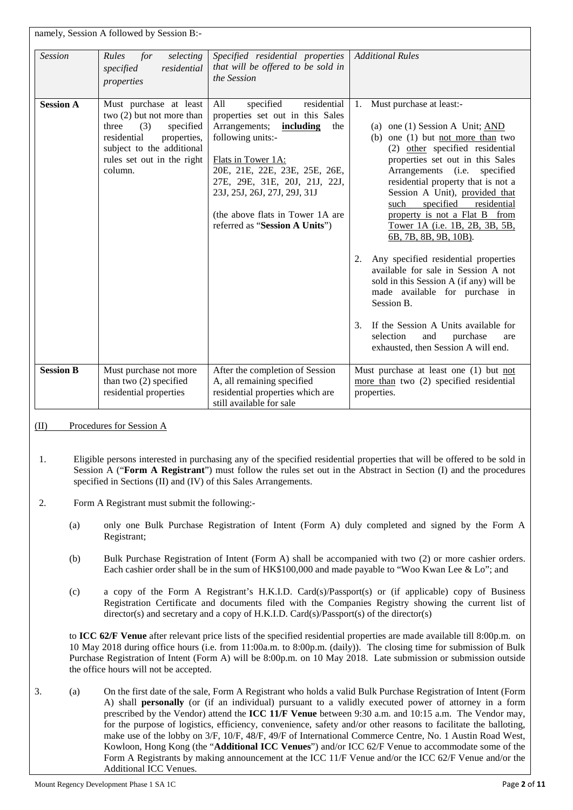|                  | namely, Session A followed by Session B:-                                                                                                                                            |                                                                                                                                                                                                                                                                                                                             |                                                                                                                                                                                                                                                                                                                                                                                                                                                                                                                                                                                                                                                                                                                                               |
|------------------|--------------------------------------------------------------------------------------------------------------------------------------------------------------------------------------|-----------------------------------------------------------------------------------------------------------------------------------------------------------------------------------------------------------------------------------------------------------------------------------------------------------------------------|-----------------------------------------------------------------------------------------------------------------------------------------------------------------------------------------------------------------------------------------------------------------------------------------------------------------------------------------------------------------------------------------------------------------------------------------------------------------------------------------------------------------------------------------------------------------------------------------------------------------------------------------------------------------------------------------------------------------------------------------------|
| <b>Session</b>   | Rules<br>for<br>selecting<br>residential<br>specified<br>properties                                                                                                                  | Specified residential properties<br>that will be offered to be sold in<br>the Session                                                                                                                                                                                                                                       | <b>Additional Rules</b>                                                                                                                                                                                                                                                                                                                                                                                                                                                                                                                                                                                                                                                                                                                       |
| <b>Session A</b> | Must purchase at least<br>two (2) but not more than<br>three<br>(3)<br>specified<br>residential<br>properties,<br>subject to the additional<br>rules set out in the right<br>column. | specified<br>residential<br>All<br>properties set out in this Sales<br>Arrangements;<br>including<br>the<br>following units:-<br>Flats in Tower 1A:<br>20E, 21E, 22E, 23E, 25E, 26E,<br>27E, 29E, 31E, 20J, 21J, 22J,<br>23J, 25J, 26J, 27J, 29J, 31J<br>(the above flats in Tower 1A are<br>referred as "Session A Units") | Must purchase at least:-<br>1.<br>(a) one (1) Session A Unit; $AND$<br>(b) one $(1)$ but not more than two<br>(2) other specified residential<br>properties set out in this Sales<br>Arrangements (i.e.<br>specified<br>residential property that is not a<br>Session A Unit), provided that<br>specified<br>residential<br>such<br>property is not a Flat B from<br>Tower 1A (i.e. 1B, 2B, 3B, 5B,<br>6B, 7B, 8B, 9B, 10B).<br>Any specified residential properties<br>2.<br>available for sale in Session A not<br>sold in this Session A (if any) will be<br>made available for purchase in<br>Session B.<br>If the Session A Units available for<br>$3_{-}$<br>selection<br>and<br>purchase<br>are<br>exhausted, then Session A will end. |
| <b>Session B</b> | Must purchase not more<br>than two (2) specified<br>residential properties                                                                                                           | After the completion of Session<br>A, all remaining specified<br>residential properties which are<br>still available for sale                                                                                                                                                                                               | Must purchase at least one (1) but not<br>more than two (2) specified residential<br>properties.                                                                                                                                                                                                                                                                                                                                                                                                                                                                                                                                                                                                                                              |

(II) Procedures for Session A

- 1. Eligible persons interested in purchasing any of the specified residential properties that will be offered to be sold in Session A ("**Form A Registrant**") must follow the rules set out in the Abstract in Section (I) and the procedures specified in Sections (II) and (IV) of this Sales Arrangements.
- 2. Form A Registrant must submit the following:-
	- (a) only one Bulk Purchase Registration of Intent (Form A) duly completed and signed by the Form A Registrant;
	- (b) Bulk Purchase Registration of Intent (Form A) shall be accompanied with two (2) or more cashier orders. Each cashier order shall be in the sum of HK\$100,000 and made payable to "Woo Kwan Lee & Lo"; and
	- (c) a copy of the Form A Registrant's H.K.I.D. Card(s)/Passport(s) or (if applicable) copy of Business Registration Certificate and documents filed with the Companies Registry showing the current list of director(s) and secretary and a copy of H.K.I.D. Card(s)/Passport(s) of the director(s)

to **ICC 62/F Venue** after relevant price lists of the specified residential properties are made available till 8:00p.m. on 10 May 2018 during office hours (i.e. from 11:00a.m. to 8:00p.m. (daily)). The closing time for submission of Bulk Purchase Registration of Intent (Form A) will be 8:00p.m. on 10 May 2018. Late submission or submission outside the office hours will not be accepted.

3. (a) On the first date of the sale, Form A Registrant who holds a valid Bulk Purchase Registration of Intent (Form A) shall **personally** (or (if an individual) pursuant to a validly executed power of attorney in a form prescribed by the Vendor) attend the **ICC 11/F Venue** between 9:30 a.m. and 10:15 a.m. The Vendor may, for the purpose of logistics, efficiency, convenience, safety and/or other reasons to facilitate the balloting, make use of the lobby on 3/F, 10/F, 48/F, 49/F of International Commerce Centre, No. 1 Austin Road West, Kowloon, Hong Kong (the "**Additional ICC Venues**") and/or ICC 62/F Venue to accommodate some of the Form A Registrants by making announcement at the ICC 11/F Venue and/or the ICC 62/F Venue and/or the Additional ICC Venues.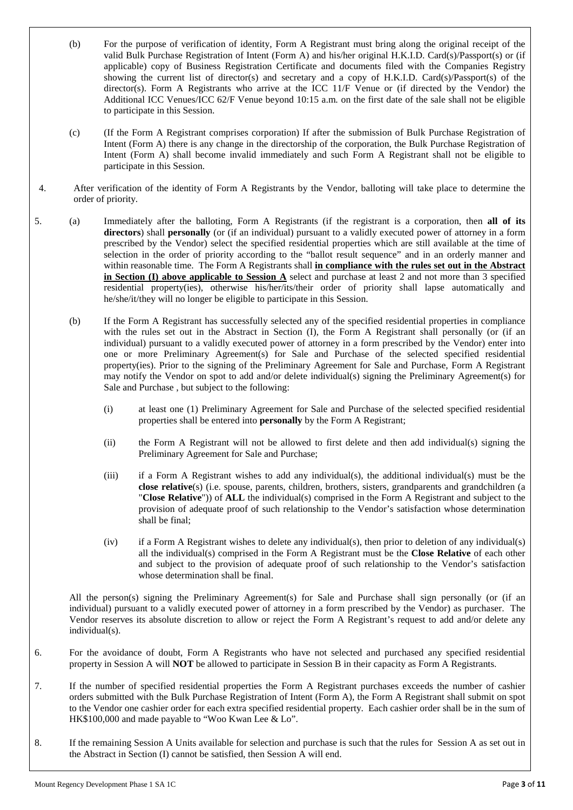- (b) For the purpose of verification of identity, Form A Registrant must bring along the original receipt of the valid Bulk Purchase Registration of Intent (Form A) and his/her original H.K.I.D. Card(s)/Passport(s) or (if applicable) copy of Business Registration Certificate and documents filed with the Companies Registry showing the current list of director(s) and secretary and a copy of H.K.I.D. Card(s)/Passport(s) of the director(s). Form A Registrants who arrive at the ICC 11/F Venue or (if directed by the Vendor) the Additional ICC Venues/ICC 62/F Venue beyond 10:15 a.m. on the first date of the sale shall not be eligible to participate in this Session.
- (c) (If the Form A Registrant comprises corporation) If after the submission of Bulk Purchase Registration of Intent (Form A) there is any change in the directorship of the corporation, the Bulk Purchase Registration of Intent (Form A) shall become invalid immediately and such Form A Registrant shall not be eligible to participate in this Session.
- 4. After verification of the identity of Form A Registrants by the Vendor, balloting will take place to determine the order of priority.
- 5. (a) Immediately after the balloting, Form A Registrants (if the registrant is a corporation, then **all of its directors**) shall **personally** (or (if an individual) pursuant to a validly executed power of attorney in a form prescribed by the Vendor) select the specified residential properties which are still available at the time of selection in the order of priority according to the "ballot result sequence" and in an orderly manner and within reasonable time. The Form A Registrants shall **in compliance with the rules set out in the Abstract in Section (I) above applicable to Session A** select and purchase at least 2 and not more than 3 specified residential property(ies), otherwise his/her/its/their order of priority shall lapse automatically and he/she/it/they will no longer be eligible to participate in this Session.
	- (b) If the Form A Registrant has successfully selected any of the specified residential properties in compliance with the rules set out in the Abstract in Section (I), the Form A Registrant shall personally (or (if an individual) pursuant to a validly executed power of attorney in a form prescribed by the Vendor) enter into one or more Preliminary Agreement(s) for Sale and Purchase of the selected specified residential property(ies). Prior to the signing of the Preliminary Agreement for Sale and Purchase, Form A Registrant may notify the Vendor on spot to add and/or delete individual(s) signing the Preliminary Agreement(s) for Sale and Purchase , but subject to the following:
		- (i) at least one (1) Preliminary Agreement for Sale and Purchase of the selected specified residential properties shall be entered into **personally** by the Form A Registrant;
		- (ii) the Form A Registrant will not be allowed to first delete and then add individual(s) signing the Preliminary Agreement for Sale and Purchase;
		- (iii) if a Form A Registrant wishes to add any individual(s), the additional individual(s) must be the **close relative**(s) (i.e. spouse, parents, children, brothers, sisters, grandparents and grandchildren (a "**Close Relative**")) of **ALL** the individual(s) comprised in the Form A Registrant and subject to the provision of adequate proof of such relationship to the Vendor's satisfaction whose determination shall be final;
		- (iv) if a Form A Registrant wishes to delete any individual(s), then prior to deletion of any individual(s) all the individual(s) comprised in the Form A Registrant must be the **Close Relative** of each other and subject to the provision of adequate proof of such relationship to the Vendor's satisfaction whose determination shall be final.

All the person(s) signing the Preliminary Agreement(s) for Sale and Purchase shall sign personally (or (if an individual) pursuant to a validly executed power of attorney in a form prescribed by the Vendor) as purchaser. The Vendor reserves its absolute discretion to allow or reject the Form A Registrant's request to add and/or delete any individual(s).

- 6. For the avoidance of doubt, Form A Registrants who have not selected and purchased any specified residential property in Session A will **NOT** be allowed to participate in Session B in their capacity as Form A Registrants.
- 7. If the number of specified residential properties the Form A Registrant purchases exceeds the number of cashier orders submitted with the Bulk Purchase Registration of Intent (Form A), the Form A Registrant shall submit on spot to the Vendor one cashier order for each extra specified residential property. Each cashier order shall be in the sum of HK\$100,000 and made payable to "Woo Kwan Lee & Lo".
- 8. If the remaining Session A Units available for selection and purchase is such that the rules for Session A as set out in the Abstract in Section (I) cannot be satisfied, then Session A will end.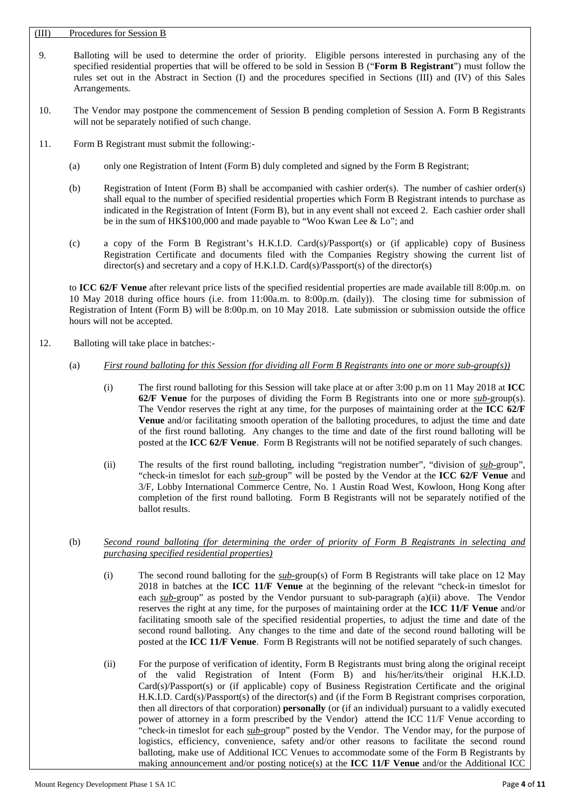### (III) Procedures for Session B

- 9. Balloting will be used to determine the order of priority. Eligible persons interested in purchasing any of the specified residential properties that will be offered to be sold in Session B ("**Form B Registrant**") must follow the rules set out in the Abstract in Section (I) and the procedures specified in Sections (III) and (IV) of this Sales Arrangements.
- 10. The Vendor may postpone the commencement of Session B pending completion of Session A. Form B Registrants will not be separately notified of such change.
- 11. Form B Registrant must submit the following:-
	- (a) only one Registration of Intent (Form B) duly completed and signed by the Form B Registrant;
	- (b) Registration of Intent (Form B) shall be accompanied with cashier order(s). The number of cashier order(s) shall equal to the number of specified residential properties which Form B Registrant intends to purchase as indicated in the Registration of Intent (Form B), but in any event shall not exceed 2. Each cashier order shall be in the sum of HK\$100,000 and made payable to "Woo Kwan Lee & Lo"; and
	- (c) a copy of the Form B Registrant's H.K.I.D. Card(s)/Passport(s) or (if applicable) copy of Business Registration Certificate and documents filed with the Companies Registry showing the current list of director(s) and secretary and a copy of H.K.I.D. Card(s)/Passport(s) of the director(s)

to **ICC 62/F Venue** after relevant price lists of the specified residential properties are made available till 8:00p.m. on 10 May 2018 during office hours (i.e. from 11:00a.m. to 8:00p.m. (daily)). The closing time for submission of Registration of Intent (Form B) will be 8:00p.m. on 10 May 2018. Late submission or submission outside the office hours will not be accepted.

12. Balloting will take place in batches:-

### (a) *First round balloting for this Session (for dividing all Form B Registrants into one or more sub-group(s))*

- (i) The first round balloting for this Session will take place at or after 3:00 p.m on 11 May 2018 at **ICC 62/F Venue** for the purposes of dividing the Form B Registrants into one or more *sub-*group(s). The Vendor reserves the right at any time, for the purposes of maintaining order at the **ICC 62/F Venue** and/or facilitating smooth operation of the balloting procedures, to adjust the time and date of the first round balloting. Any changes to the time and date of the first round balloting will be posted at the **ICC 62/F Venue**. Form B Registrants will not be notified separately of such changes.
- (ii) The results of the first round balloting, including "registration number", "division of *sub-*group", "check-in timeslot for each *sub-*group" will be posted by the Vendor at the **ICC 62/F Venue** and 3/F, Lobby International Commerce Centre, No. 1 Austin Road West, Kowloon, Hong Kong after completion of the first round balloting. Form B Registrants will not be separately notified of the ballot results.
- (b) *Second round balloting (for determining the order of priority of Form B Registrants in selecting and purchasing specified residential properties)*
	- (i) The second round balloting for the *sub-*group(s) of Form B Registrants will take place on 12 May 2018 in batches at the **ICC 11/F Venue** at the beginning of the relevant "check-in timeslot for each *sub-*group" as posted by the Vendor pursuant to sub-paragraph (a)(ii) above. The Vendor reserves the right at any time, for the purposes of maintaining order at the **ICC 11/F Venue** and/or facilitating smooth sale of the specified residential properties, to adjust the time and date of the second round balloting. Any changes to the time and date of the second round balloting will be posted at the **ICC 11/F Venue**. Form B Registrants will not be notified separately of such changes.
	- (ii) For the purpose of verification of identity, Form B Registrants must bring along the original receipt of the valid Registration of Intent (Form B) and his/her/its/their original H.K.I.D. Card(s)/Passport(s) or (if applicable) copy of Business Registration Certificate and the original H.K.I.D. Card(s)/Passport(s) of the director(s) and (if the Form B Registrant comprises corporation, then all directors of that corporation) **personally** (or (if an individual) pursuant to a validly executed power of attorney in a form prescribed by the Vendor) attend the ICC 11/F Venue according to "check-in timeslot for each *sub-*group" posted by the Vendor. The Vendor may, for the purpose of logistics, efficiency, convenience, safety and/or other reasons to facilitate the second round balloting, make use of Additional ICC Venues to accommodate some of the Form B Registrants by making announcement and/or posting notice(s) at the **ICC 11/F Venue** and/or the Additional ICC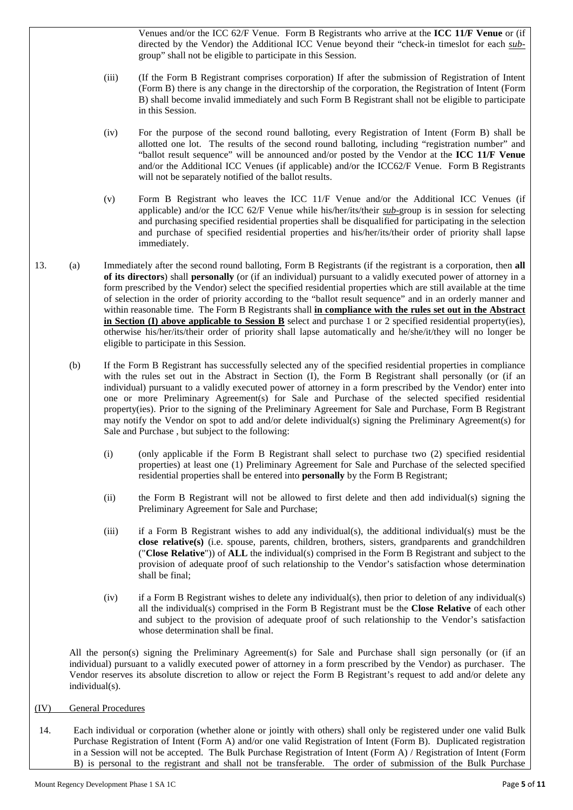Venues and/or the ICC 62/F Venue. Form B Registrants who arrive at the **ICC 11/F Venue** or (if directed by the Vendor) the Additional ICC Venue beyond their "check-in timeslot for each *sub*group" shall not be eligible to participate in this Session.

- (iii) (If the Form B Registrant comprises corporation) If after the submission of Registration of Intent (Form B) there is any change in the directorship of the corporation, the Registration of Intent (Form B) shall become invalid immediately and such Form B Registrant shall not be eligible to participate in this Session.
- (iv) For the purpose of the second round balloting, every Registration of Intent (Form B) shall be allotted one lot. The results of the second round balloting, including "registration number" and "ballot result sequence" will be announced and/or posted by the Vendor at the **ICC 11/F Venue** and/or the Additional ICC Venues (if applicable) and/or the ICC62/F Venue. Form B Registrants will not be separately notified of the ballot results.
- (v) Form B Registrant who leaves the ICC 11/F Venue and/or the Additional ICC Venues (if applicable) and/or the ICC 62/F Venue while his/her/its/their *sub-*group is in session for selecting and purchasing specified residential properties shall be disqualified for participating in the selection and purchase of specified residential properties and his/her/its/their order of priority shall lapse immediately.
- 13. (a) Immediately after the second round balloting, Form B Registrants (if the registrant is a corporation, then **all of its directors**) shall **personally** (or (if an individual) pursuant to a validly executed power of attorney in a form prescribed by the Vendor) select the specified residential properties which are still available at the time of selection in the order of priority according to the "ballot result sequence" and in an orderly manner and within reasonable time. The Form B Registrants shall **in compliance with the rules set out in the Abstract in Section (I) above applicable to Session B** select and purchase 1 or 2 specified residential property(ies), otherwise his/her/its/their order of priority shall lapse automatically and he/she/it/they will no longer be eligible to participate in this Session.
	- (b) If the Form B Registrant has successfully selected any of the specified residential properties in compliance with the rules set out in the Abstract in Section (I), the Form B Registrant shall personally (or (if an individual) pursuant to a validly executed power of attorney in a form prescribed by the Vendor) enter into one or more Preliminary Agreement(s) for Sale and Purchase of the selected specified residential property(ies). Prior to the signing of the Preliminary Agreement for Sale and Purchase, Form B Registrant may notify the Vendor on spot to add and/or delete individual(s) signing the Preliminary Agreement(s) for Sale and Purchase , but subject to the following:
		- (i) (only applicable if the Form B Registrant shall select to purchase two (2) specified residential properties) at least one (1) Preliminary Agreement for Sale and Purchase of the selected specified residential properties shall be entered into **personally** by the Form B Registrant;
		- (ii) the Form B Registrant will not be allowed to first delete and then add individual(s) signing the Preliminary Agreement for Sale and Purchase;
		- (iii) if a Form B Registrant wishes to add any individual(s), the additional individual(s) must be the **close relative(s)** (i.e. spouse, parents, children, brothers, sisters, grandparents and grandchildren ("**Close Relative**")) of **ALL** the individual(s) comprised in the Form B Registrant and subject to the provision of adequate proof of such relationship to the Vendor's satisfaction whose determination shall be final;
		- (iv) if a Form B Registrant wishes to delete any individual(s), then prior to deletion of any individual(s) all the individual(s) comprised in the Form B Registrant must be the **Close Relative** of each other and subject to the provision of adequate proof of such relationship to the Vendor's satisfaction whose determination shall be final.

All the person(s) signing the Preliminary Agreement(s) for Sale and Purchase shall sign personally (or (if an individual) pursuant to a validly executed power of attorney in a form prescribed by the Vendor) as purchaser. The Vendor reserves its absolute discretion to allow or reject the Form B Registrant's request to add and/or delete any individual(s).

## (IV) General Procedures

14. Each individual or corporation (whether alone or jointly with others) shall only be registered under one valid Bulk Purchase Registration of Intent (Form A) and/or one valid Registration of Intent (Form B). Duplicated registration in a Session will not be accepted. The Bulk Purchase Registration of Intent (Form A) / Registration of Intent (Form B) is personal to the registrant and shall not be transferable. The order of submission of the Bulk Purchase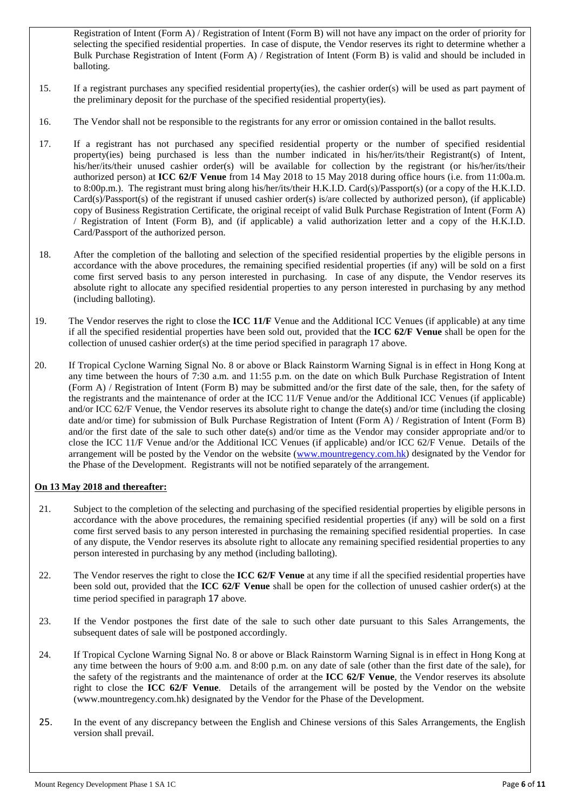Registration of Intent (Form A) / Registration of Intent (Form B) will not have any impact on the order of priority for selecting the specified residential properties. In case of dispute, the Vendor reserves its right to determine whether a Bulk Purchase Registration of Intent (Form A) / Registration of Intent (Form B) is valid and should be included in balloting.

- 15. If a registrant purchases any specified residential property(ies), the cashier order(s) will be used as part payment of the preliminary deposit for the purchase of the specified residential property(ies).
- 16. The Vendor shall not be responsible to the registrants for any error or omission contained in the ballot results.
- 17. If a registrant has not purchased any specified residential property or the number of specified residential property(ies) being purchased is less than the number indicated in his/her/its/their Registrant(s) of Intent, his/her/its/their unused cashier order(s) will be available for collection by the registrant (or his/her/its/their authorized person) at **ICC 62/F Venue** from 14 May 2018 to 15 May 2018 during office hours (i.e. from 11:00a.m. to 8:00p.m.). The registrant must bring along his/her/its/their H.K.I.D. Card(s)/Passport(s) (or a copy of the H.K.I.D.  $Card(s)/Passport(s)$  of the registrant if unused cashier order(s) is/are collected by authorized person), (if applicable) copy of Business Registration Certificate, the original receipt of valid Bulk Purchase Registration of Intent (Form A) / Registration of Intent (Form B), and (if applicable) a valid authorization letter and a copy of the H.K.I.D. Card/Passport of the authorized person.
- 18. After the completion of the balloting and selection of the specified residential properties by the eligible persons in accordance with the above procedures, the remaining specified residential properties (if any) will be sold on a first come first served basis to any person interested in purchasing. In case of any dispute, the Vendor reserves its absolute right to allocate any specified residential properties to any person interested in purchasing by any method (including balloting).
- 19. The Vendor reserves the right to close the **ICC 11/F** Venue and the Additional ICC Venues (if applicable) at any time if all the specified residential properties have been sold out, provided that the **ICC 62/F Venue** shall be open for the collection of unused cashier order(s) at the time period specified in paragraph 17 above.
- 20. If Tropical Cyclone Warning Signal No. 8 or above or Black Rainstorm Warning Signal is in effect in Hong Kong at any time between the hours of 7:30 a.m. and 11:55 p.m. on the date on which Bulk Purchase Registration of Intent (Form A) / Registration of Intent (Form B) may be submitted and/or the first date of the sale, then, for the safety of the registrants and the maintenance of order at the ICC 11/F Venue and/or the Additional ICC Venues (if applicable) and/or ICC 62/F Venue, the Vendor reserves its absolute right to change the date(s) and/or time (including the closing date and/or time) for submission of Bulk Purchase Registration of Intent (Form A) / Registration of Intent (Form B) and/or the first date of the sale to such other date(s) and/or time as the Vendor may consider appropriate and/or to close the ICC 11/F Venue and/or the Additional ICC Venues (if applicable) and/or ICC 62/F Venue. Details of the arrangement will be posted by the Vendor on the website [\(www.mountr](http://www.mount/)egency.com.hk) designated by the Vendor for the Phase of the Development. Registrants will not be notified separately of the arrangement.

## **On 13 May 2018 and thereafter:**

- 21. Subject to the completion of the selecting and purchasing of the specified residential properties by eligible persons in accordance with the above procedures, the remaining specified residential properties (if any) will be sold on a first come first served basis to any person interested in purchasing the remaining specified residential properties. In case of any dispute, the Vendor reserves its absolute right to allocate any remaining specified residential properties to any person interested in purchasing by any method (including balloting).
- 22. The Vendor reserves the right to close the **ICC 62/F Venue** at any time if all the specified residential properties have been sold out, provided that the **ICC 62/F Venue** shall be open for the collection of unused cashier order(s) at the time period specified in paragraph 17 above.
- 23. If the Vendor postpones the first date of the sale to such other date pursuant to this Sales Arrangements, the subsequent dates of sale will be postponed accordingly.
- 24. If Tropical Cyclone Warning Signal No. 8 or above or Black Rainstorm Warning Signal is in effect in Hong Kong at any time between the hours of 9:00 a.m. and 8:00 p.m. on any date of sale (other than the first date of the sale), for the safety of the registrants and the maintenance of order at the **ICC 62/F Venue**, the Vendor reserves its absolute right to close the **ICC 62/F Venue**. Details of the arrangement will be posted by the Vendor on the website (www.mountregency.com.hk) designated by the Vendor for the Phase of the Development.
- 25. In the event of any discrepancy between the English and Chinese versions of this Sales Arrangements, the English version shall prevail.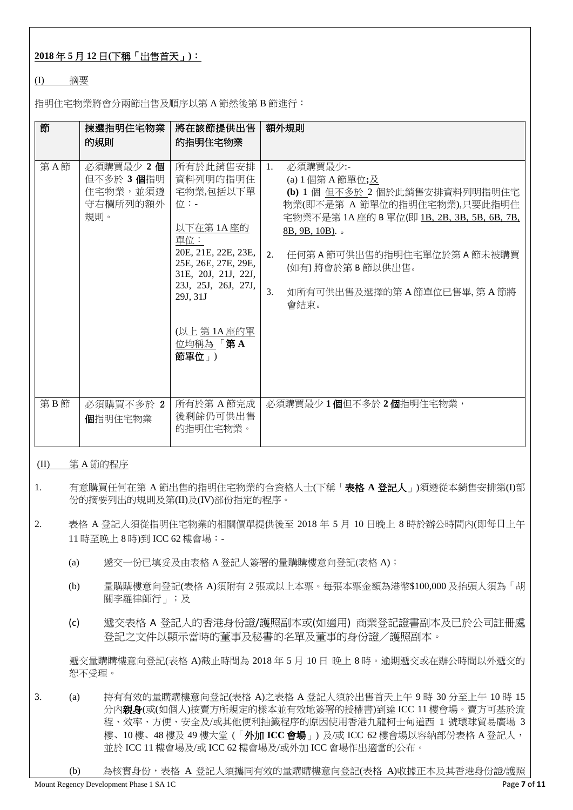# **2018** 年 **5** 月 **12** 日**(**下稱「出售首天」**)**:

## (I) 摘要

指明住宅物業將會分兩節出售及順序以第 A 節然後第 B 節進行:

| 節   | 揀選指明住宅物業<br>的規則                                       | 將在該節提供出售<br>的指明住宅物業                                                                                                                                                                                   | 額外規則                                                                                                                                                                                                                                                                                      |
|-----|-------------------------------------------------------|-------------------------------------------------------------------------------------------------------------------------------------------------------------------------------------------------------|-------------------------------------------------------------------------------------------------------------------------------------------------------------------------------------------------------------------------------------------------------------------------------------------|
| 第A節 | 必須購買最少 2個<br>但不多於 3個指明<br>住宅物業,並須遵<br>守右欄所列的額外<br>規則。 | 所有於此銷售安排<br>資料列明的指明住<br>宅物業,包括以下單<br>位:-<br>以下在第1A座的<br>單位:<br>20E, 21E, 22E, 23E,<br>25E, 26E, 27E, 29E,<br>31E, 20J, 21J, 22J,<br>23J, 25J, 26J, 27J,<br>29J, 31J<br>(以上 第1A座的單<br>位均稱為「第A<br>節單位」) | 必須購買最少:-<br>1.<br>(a) 1 個第 A 節單位;及<br>(b) 1 個 但不多於 2 個於此銷售安排資料列明指明住宅<br>物業(即不是第 A 節單位的指明住宅物業),只要此指明住<br>宅物業不是第1A座的 B 單位(即 1B, 2B, 3B, 5B, 6B, 7B,<br>$8B, 9B, 10B$ ).<br>2.<br>任何第 A 節可供出售的指明住宅單位於第 A 節未被購買<br>(如有)將會於第 B 節以供出售。<br>$\overline{3}$ .<br>如所有可供出售及選擇的第A節單位已售畢, 第A節將<br>會結束。 |
| 第B節 | 必須購買不多於 2<br>個指明住宅物業                                  | 所有於第 A 節完成<br>後剩餘仍可供出售<br>的指明住宅物業。                                                                                                                                                                    | 必須購買最少1個但不多於2個指明住宅物業,                                                                                                                                                                                                                                                                     |

## (II) 第 A 節的程序

- 1. 有意購買任何在第 A 節出售的指明住宅物業的合資格人士(下稱「表格 **A** 登記人」)須遵從本銷售安排第(I)部 份的摘要列出的規則及第(II)及(IV)部份指定的程序。
- 2. 表格 A 登記人須從指明住宅物業的相關價單提供後至 2018 年 5 月 10 日晚上 8 時於辦公時間內(即每日上午 11 時至晚上 8 時)到 ICC 62 樓會場:-
	- (a) 遞交一份已填妥及由表格 A 登記人簽署的量購購樓意向登記(表格 A);
	- (b) 量購購樓意向登記(表格 A)須附有 2 張或以上本票。每張本票金額為港幣\$100,000 及抬頭人須為「胡 關李羅律師行」;及
	- (c) 遞交表格 A 登記人的香港身份證/護照副本或(如適用) 商業登記證書副本及已於公司註冊處 登記之文件以顯示當時的董事及秘書的名單及董事的身份證/護照副本。

遞交量購購樓意向登記(表格 A)截止時間為 2018 年 5 月 10 日 晚上 8 時。逾期遞交或在辦公時間以外遞交的 恕不受理。

- 3. (a) 持有有效的量購購樓意向登記(表格 A)之表格 A 登記人須於出售首天上午 9 時 30 分至上午 10 時 15 分內親身(或(如個人)按賣方所規定的樣本並有效地簽署的授權書)到達 ICC 11 樓會場。賣方可基於流 程、效率、方便、安全及/或其他便利抽籤程序的原因使用香港九龍柯士甸道西 1 號環球貿易廣場 3 樓、10 樓、48 樓及 49 樓大堂 (「外加 **ICC** 會場」) 及/或 ICC 62 樓會場以容納部份表格 A 登記人, 並於 ICC 11 樓會場及/或 ICC 62 樓會場及/或外加 ICC 會場作出適當的公布。
	- (b) 為核實身份,表格 A 登記人須攜同有效的量購購樓意向登記(表格 A)收據正本及其香港身份證/護照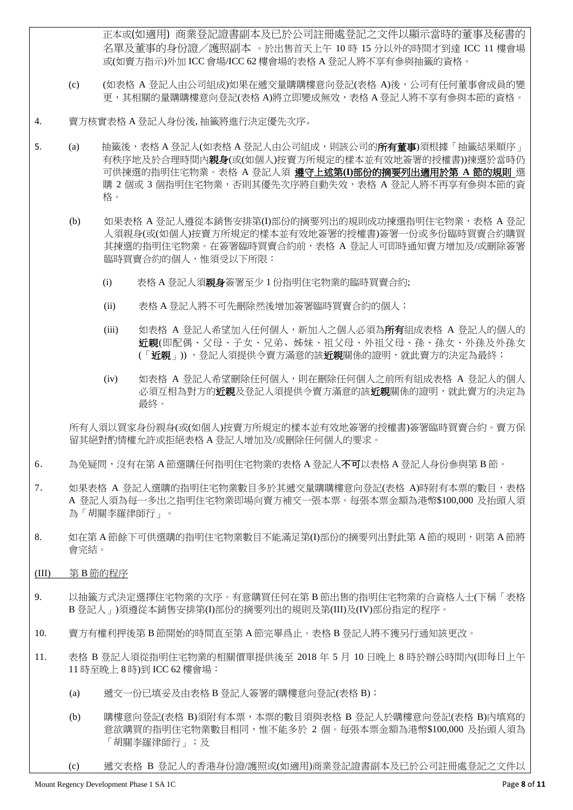正本或(如適用) 商業登記證書副本及已於公司註冊處登記之文件以顯示當時的董事及秘書的 名單及董事的身份證/護照副本 。於出售首天上午 10 時 15 分以外的時間才到達 ICC 11 樓會場 或(如賣方指示)外加 ICC 會場/ICC 62 樓會場的表格 A 登記人將不享有參與抽籤的資格。

- (c) (如表格 A 登記人由公司組成)如果在遞交量購購樓意向登記(表格 A)後,公司有任何董事會成員的變 更,其相關的量購購樓意向登記(表格 A)將立即變成無效,表格 A 登記人將不享有參與本節的資格。
- 4. 賣方核實表格 A 登記人身份後, 抽籤將進行決定優先次序。
- 5. (a) 抽籤後,表格 A 登記人(如表格 A 登記人由公司組成,則該公司的**所有董事**)須根據「抽籤結果順序」 有秩序地及於合理時間内**親身**(或(如個人)按賣方所規定的樣本並有效地簽署的授權書))揀選於當時仍 可供揀選的指明住宅物業。表格 A 登記人須 遵守上述第**(I)**部份的摘要列出適用於第 **A** 節的規則 選 購 2 個或 3 個指明住宅物業, 否則其優先次序將自動失效, 表格 A 登記人將不再享有參與本節的資 格。
	- (b) 如果表格 A 登記人遵從本銷售安排第(I)部份的摘要列出的規則成功揀選指明住宅物業,表格 A 登記 人須親身(或(如個人)按賣方所規定的樣本並有效地簽署的授權書)簽署一份或多份臨時買賣合約購買 其揀選的指明住宅物業。在簽署臨時買賣合約前,表格 A 登記人可即時通知賣方增加及/或刪除簽署 臨時買賣合約的個人,惟須受以下所限:
		- (i) 表格 A 登記人須親身簽署至少 1 份指明住宅物業的臨時買賣合約;
		- (ii) 表格 A 登記人將不可先刪除然後增加簽署臨時買賣合約的個人;
		- (iii) 如表格 A 登記人希望加入任何個人,新加入之個人必須為所有組成表格 A 登記人的個人的 近親(即配偶、父母、子女、兄弟、姊妹、祖父母、外祖父母、孫、孫女、外孫及外孫女 (「**近親**」)),登記人須提供令賣方滿意的該**近親**關係的證明,就此賣方的決定為最終;
		- (iv) 如表格 A 登記人希望刪除任何個人,則在刪除任何個人之前所有組成表格 A 登記人的個人 必須互相為對方的**近親**及登記人須提供今賣方滿意的該**近親**關係的證明,就此賣方的決定為 最終。

所有人須以買家身份親身(或(如個人)按賣方所規定的樣本並有效地簽署的授權書)簽署臨時買賣合約。賣方保 留其絕對酌情權允許或拒絕表格 A 登記人增加及/或刪除任何個人的要求。

- 6. 為免疑問,沒有在第 A 節選購任何指明住宅物業的表格 A 登記人**不可**以表格 A 登記人身份參與第 B 節。
- 7. 如果表格 A 登記人選購的指明住宅物業數目多於其遞交量購購樓意向登記(表格 A)時附有本票的數目,表格 A 登記人須為每一多出之指明住宅物業即場向賣方補交一張本票。每張本票金額為港幣\$100,000 及抬頭人須 為「胡關李羅律師行」。
- 8. 如在第 A 節餘下可供選購的指明住宅物業數目不能滿足第(I)部份的摘要列出對此第 A 節的規則,則第 A 節將 會完結。
- (III) 第 B 節的程序
- 9. 以抽籤方式決定選擇住宅物業的次序。有意購買任何在第 B 節出售的指明住宅物業的合資格人士(下稱「表格 B 登記人」)須遵從本銷售安排第(I)部份的摘要列出的規則及第(III)及(IV)部份指定的程序。
- 10. 賣方有權利押後第 B 節開始的時間直至第 A 節完畢爲止。表格 B 登記人將不獲另行通知該更改。
- 11. 表格 B 登記人須從指明住宅物業的相關價單提供後至 2018 年 5 月 10 日晚上 8 時於辦公時間內(即每日上午 11 時至晚上 8 時)到 ICC 62 樓會場:
	- (a) 遞交一份已填妥及由表格 B 登記人簽署的購樓意向登記(表格 B);
	- (b) 購樓意向登記(表格 B)須附有本票,本票的數目須與表格 B 登記人於購樓意向登記(表格 B)內填寫的 意欲購買的指明住宅物業數目相同,惟不能多於 2 個。每張本票金額為港幣\$100,000 及抬頭人須為 「胡關李羅律師行」;及
	- (c) 遞交表格 B 登記人的香港身份證/護照或(如適用)商業登記證書副本及已於公司註冊處登記之文件以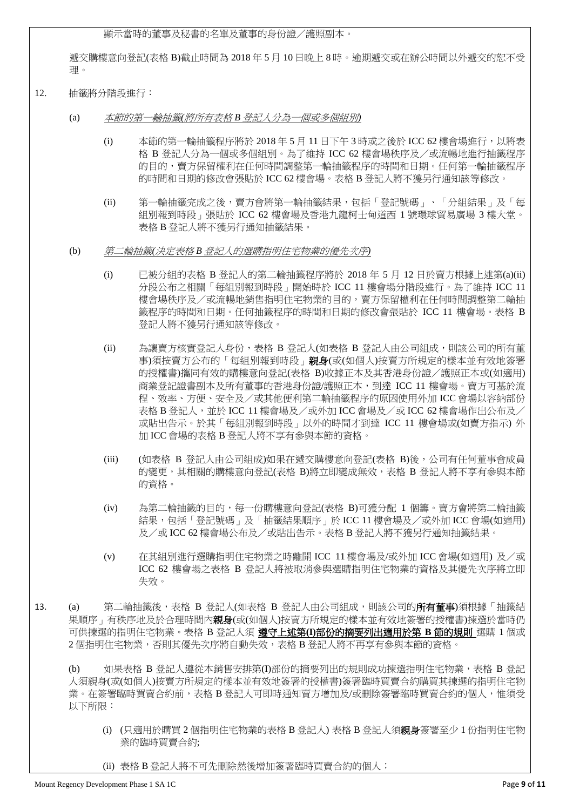顯示當時的董事及秘書的名單及董事的身份證/護照副本。

遞交購樓意向登記(表格 B)截止時間為 2018 年 5 月 10 日晚上 8 時。逾期遞交或在辦公時間以外遞交的恕不受 理。

- 12. 抽籤將分階段進行:
	- (a) 本節的第一輪抽籤*(*將所有表格 *B* 登記人分為一個或多個組別*)*
		- (i) 本節的第一輪抽籤程序將於 2018 年 5 月 11 日下午 3 時或之後於 ICC 62 樓會場進行,以將表 格 B 登記人分為一個或多個組別。為了維持 ICC 62 樓會場秩序及/或流暢地進行抽籤程序 的目的,賣方保留權利在任何時間調整第一輪抽籤程序的時間和日期。任何第一輪抽籤程序 的時間和日期的修改會張貼於 ICC 62 樓會場。表格 B 登記人將不獲另行通知該等修改。
		- (ii) 第一輪抽籤完成之後,賣方會將第一輪抽籤結果,包括「登記號碼」、「分組結果」及「每 組別報到時段」張貼於 ICC 62 樓會場及香港九龍柯士甸道西 1 號環球貿易廣場 3 樓大堂。 表格 B 登記人將不獲另行通知抽籤結果。
	- (b) 第二輪抽籤*(*決定表格 *B* 登記人的選購指明住宅物業的優先次序*)*
		- (i) 已被分組的表格 B 登記人的第二輪抽籤程序將於 2018 年 5 月 12 日於賣方根據上述第(a)(ii) 分段公布之相關「每組別報到時段」開始時於 ICC 11 樓會場分階段進行。為了維持 ICC 11 樓會場秩序及/或流暢地銷售指明住宅物業的目的,賣方保留權利在任何時間調整第二輪抽 籤程序的時間和日期。任何抽籤程序的時間和日期的修改會張貼於 ICC 11 樓會場。表格 B 登記人將不獲另行通知該等修改。
		- (ii) 為讓賣方核實登記人身份,表格 B 登記人(如表格 B 登記人由公司組成,則該公司的所有董 事)須按賣方公布的「每組別報到時段」親身(或(如個人)按賣方所規定的樣本並有效地簽署 的授權書)攜同有效的購樓意向登記(表格 B)收據正本及其香港身份證/護照正本或(如適用) 商業登記證書副本及所有董事的香港身份證/護照正本,到達 ICC 11 樓會場。賣方可基於流 程、效率、方便、安全及/或其他便利第二輪抽籤程序的原因使用外加 ICC 會場以容納部份 表格 B 登記人,並於 ICC 11 樓會場及/或外加 ICC 會場及/或 ICC 62 樓會場作出公布及/ 或貼出告示。於其「每組別報到時段」以外的時間才到達 ICC 11 樓會場或(如賣方指示) 外 加 ICC 會場的表格 B 登記人將不享有參與本節的資格。
		- (iii) (如表格 B 登記人由公司組成)如果在遞交購樓意向登記(表格 B)後,公司有任何董事會成員 的變更,其相關的購樓意向登記(表格 B)將立即變成無效,表格 B 登記人將不享有參與本節 的資格。
		- (iv) 為第二輪抽籤的目的,每一份購樓意向登記(表格 B)可獲分配 1 個籌。賣方會將第二輪抽籤 結果,包括「登記號碼」及「抽籤結果順序」於 ICC 11 樓會場及/或外加 ICC 會場(如適用) 及/或 ICC 62 樓會場公布及/或貼出告示。表格 B 登記人將不獲另行通知抽籤結果。
		- (v) 在其組別進行選購指明住宅物業之時離開 ICC 11 樓會場及/或外加 ICC 會場(如適用) 及/或 ICC 62 樓會場之表格 B 登記人將被取消參與選購指明住宅物業的資格及其優先次序將立即 失效。
- 13. (a) 第二輪抽籤後,表格 B 登記人(如表格 B 登記人由公司組成,則該公司的**所有董事**)須根據「抽籤結 果順序,有秩序地及於合理時間内**親身**(或(如個人)按賣方所規定的樣本並有效地簽署的授權書)揀選於當時仍 可供揀選的指明住宅物業。表格 B 登記人須 遵守上述第**(I)**部份的摘要列出適用於第 **B** 節的規則 選購 1 個或 2 個指明住宅物業,否則其優先次序將自動失效,表格 B 登記人將不再享有參與本節的資格。

(b) 如果表格 B 登記人遵從本銷售安排第(I)部份的摘要列出的規則成功揀選指明住宅物業,表格 B 登記 人須親身(或(如個人)按賣方所規定的樣本並有效地簽署的授權書)簽署臨時買賣合約購買其揀選的指明住宅物 業。在簽署臨時買賣合約前,表格 B 登記人可即時涌知賣方增加及/或刪除簽署臨時買賣合約的個人,惟須受 以下所限:

(i) (只適用於購買 2 個指明住宅物業的表格 B 登記人) 表格 B 登記人須親身簽署至少 1 份指明住宅物 業的臨時買賣合約;

(ii) 表格 B 登記人將不可先刪除然後增加簽署臨時買賣合約的個人;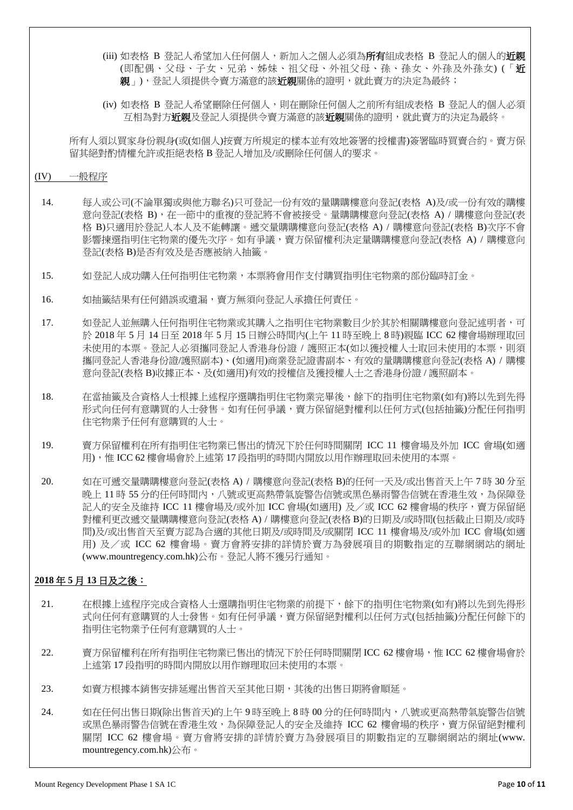- (iii) 如表格 B 登記人希望加入任何個人,新加入之個人必須為**所有**組成表格 B 登記人的個人的**近親** (即配偶、父母、子女、兄弟、姊妹、祖父母、外祖父母、孫、孫女、外孫及外孫女) (「近 **親**」),登記人須提供今賣方滿意的該**近親**關係的證明,就此賣方的決定為最終;
- (iv) 如表格 B 登記人希望刪除任何個人,則在刪除任何個人之前所有組成表格 B 登記人的個人必須 互相為對方**近親**及登記人須提供令賣方滿意的該**近親**關係的證明,就此賣方的決定為最終。

所有人須以買家身份親身(或(如個人)按賣方所規定的樣本並有效地簽署的授權書)簽署臨時買賣合約。賣方保 留其絕對酌情權允許或拒絕表格 B 登記人增加及/或刪除任何個人的要求。

### (IV) 一般程序

- 14. 每人或公司(不論單獨或與他方聯名)只可登記一份有效的量購購樓意向登記(表格 A)及/或一份有效的購樓 意向登記(表格 B),在一節中的重複的登記將不會被接受。量購購樓意向登記(表格 A) / 購樓意向登記(表 格 B)只適用於登記人本人及不能轉讓。遞交量購購樓意向登記(表格 A) / 購樓意向登記(表格 B)次序不會 影響揀選指明住宅物業的優先次序。如有爭議,賣方保留權利決定量購購樓意向登記(表格 A) / 購樓意向 登記(表格 B)是否有效及是否應被納入抽籤。
- 15. 如登記人成功購入任何指明住宅物業,本票將會用作支付購買指明住宅物業的部份臨時訂金。
- 16. 如抽籤結果有任何錯誤或遺漏,賣方無須向登記人承擔任何責任。
- 17. 如登記人並無購入任何指明住宅物業或其購入之指明住宅物業數目少於其於相關購樓意向登記述明者,可 於 2018 年 5 月 14 日至 2018 年 5 月 15 日辦公時間內(上午 11 時至晚上 8 時)親臨 ICC 62 樓會場辦理取回 未使用的本票。登記人必須攜同登記人香港身份證 / 護照正本(如以獲授權人士取回未使用的本票,則須 攜同登記人香港身份證/護照副本)、(如適用)商業登記證書副本、有效的量購購樓意向登記(表格 A) / 購樓 意向登記(表格 B)收據正本、及(如適用)有效的授權信及獲授權人士之香港身份證 / 護照副本。
- 18. 在當抽籤及合資格人士根據上述程序選購指明住宅物業完畢後,餘下的指明住宅物業(如有)將以先到先得 形式向任何有意購買的人士發售。如有任何爭議,賣方保留絕對權利以任何方式(包括抽籤)分配任何指明 住宅物業予任何有意購買的人士。
- 19. 賣方保留權利在所有指明住宅物業已售出的情況下於任何時間關閉 ICC 11 樓會場及外加 ICC 會場(如適 用),惟 ICC 62 樓會場會於上述第 17 段指明的時間内開放以用作辦理取回未使用的本票。
- 20. 如在可遞交量購購樓意向登記(表格 A) / 購樓意向登記(表格 B)的任何一天及/或出售首天上午 7 時 30 分至 晩上 11 時 55 分的任何時間内,八號或更高熱帶氣旋警告信號或黑色暴雨警告信號在香港生效,為保障登 記人的安全及維持 ICC 11 樓會場及/或外加 ICC 會場(如適用) 及/或 ICC 62 樓會場的秩序,賣方保留絕 對權利更改遞交量購購樓意向登記(表格 A) / 購樓意向登記(表格 B)的日期及/或時間(包括截止日期及/或時 間)及/或出售首天至賣方認為合適的其他日期及/或時間及/或關閉 ICC 11 樓會場及/或外加 ICC 會場(如適 用) 及/或 ICC 62 樓會場。賣方會將安排的詳情於賣方為發展項目的期數指定的互聯網網站的網址 (www.mountregency.com.hk)公布。登記人將不獲另行通知。

# **2018** 年 **5** 月 **13** 日及之後:

- 21. 在根據上述程序完成合資格人士選購指明住宅物業的前提下,餘下的指明住宅物業(如有)將以先到先得形 式向任何有意購買的人士發售。如有任何爭議,賣方保留絕對權利以任何方式(包括抽籤)分配任何餘下的 指明住宅物業予任何有意購買的人士。
- 22. 賣方保留權利在所有指明住宅物業已售出的情況下於任何時間關閉 ICC 62 樓會場,惟 ICC 62 樓會場會於 上述第 17 段指明的時間内開放以用作辦理取回未使用的本票。
- 23. 如賣方根據本銷售安排延遲出售首天至其他日期,其後的出售日期將會順延。
- 24. 如在任何出售日期(除出售首天)的上午 9 時至晚上 8 時 00 分的任何時間內,八號或更高熱帶氣旋警告信號 或黑色暴雨警告信號在香港生效,為保障登記人的安全及維持 ICC 62 樓會場的秩序,賣方保留絕對權利 關閉 ICC 62 樓會場。賣方會將安排的詳情於賣方為發展項目的期數指定的互聯網網站的網址(www. mountregency.com.hk)公布。